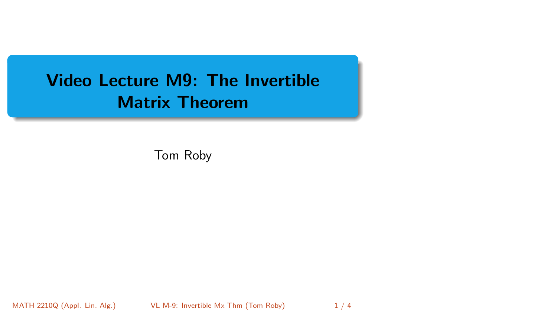# <span id="page-0-0"></span>Video Lecture M9: The Invertible Matrix Theorem

Tom Roby

MATH 2210Q (Appl. Lin. Alg.) VL M-9: Invertible Mx Thm (Tom Roby) 1/4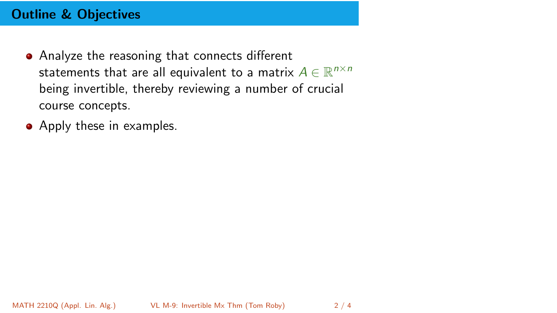## Outline & Objectives

- Analyze the reasoning that connects different statements that are all equivalent to a matrix  $A \in \mathbb{R}^{n \times n}$ being invertible, thereby reviewing a number of crucial course concepts.
- Apply these in examples.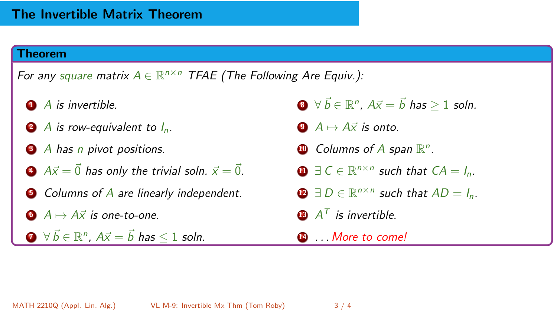#### Theorem

For any square matrix  $A \in \mathbb{R}^{n \times n}$  TFAE (The Following Are Equiv.):

- $\bigcirc$  A is invertible.
- 2 A is row-equivalent to  $I_n$ .
- 3 A has n pivot positions.
- 4  $A\vec{x} = \vec{0}$  has only the trivial soln.  $\vec{x} = \vec{0}$ .
- **5** Columns of A are linearly independent.
- $\bullet$   $A \mapsto A\vec{x}$  is one-to-one.

 $\overline{\bm{D}}\;\;\forall\;\vec{b}\in\mathbb{R}^n$ ,  $A\vec{x}=\vec{b}$  has  $\leq 1$  soln.

- $\overline{\bm{B}}\ \ \forall\,\vec{b}\in\mathbb{R}^n$ ,  $A\vec{x}=\vec{b}$  has  $\geq 1$  soln.
- 9  $A \mapsto A\vec{x}$  is onto.
- $\bullet$  Columns of A span  $\mathbb{R}^n$ .
- $\bigoplus \exists C \in \mathbb{R}^{n \times n}$  such that  $CA = I_n$ .
- **1** ∃ D  $\in$   $\mathbb{R}^{n \times n}$  such that  $AD = I_n$ .
- $\mathbf{B}$   $A^{\mathsf{T}}$  is invertible.
- **14 ...** More to come!

MATH 2210Q (Appl. Lin. Alg.) [VL M-9: Invertible Mx Thm](#page-0-0) (Tom Roby) 3 / 4